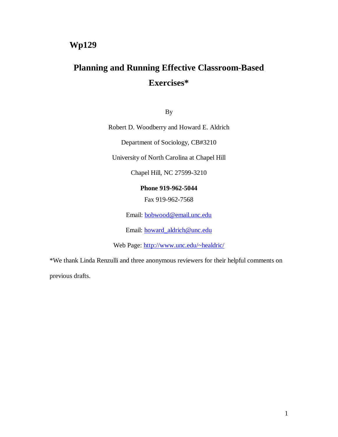# **Planning and Running Effective Classroom-Based Exercises\***

By

Robert D. Woodberry and Howard E. Aldrich

Department of Sociology, CB#3210

University of North Carolina at Chapel Hill

Chapel Hill, NC 27599-3210

# **Phone 919-962-5044**

Fax 919-962-7568

Email: bobwood@email.unc.edu

Email: howard\_aldrich@unc.edu

Web Page: http://www.unc.edu/~healdric/

\*We thank Linda Renzulli and three anonymous reviewers for their helpful comments on

previous drafts.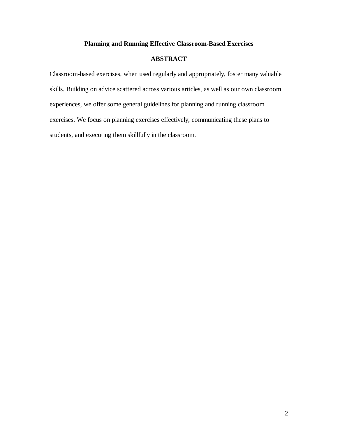# **Planning and Running Effective Classroom-Based Exercises**

# **ABSTRACT**

Classroom-based exercises, when used regularly and appropriately, foster many valuable skills. Building on advice scattered across various articles, as well as our own classroom experiences, we offer some general guidelines for planning and running classroom exercises. We focus on planning exercises effectively, communicating these plans to students, and executing them skillfully in the classroom.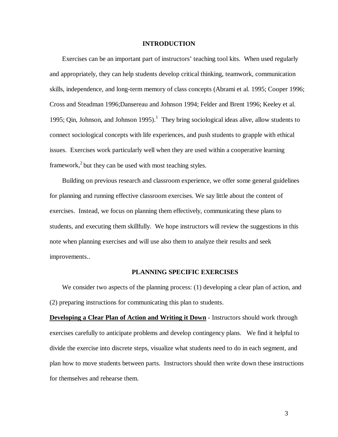#### **INTRODUCTION**

Exercises can be an important part of instructors' teaching tool kits. When used regularly and appropriately, they can help students develop critical thinking, teamwork, communication skills, independence, and long-term memory of class concepts (Abrami et al. 1995; Cooper 1996; Cross and Steadman 1996;Dansereau and Johnson 1994; Felder and Brent 1996; Keeley et al. 1995; Oin, Johnson, and Johnson 1995).<sup>1</sup> They bring sociological ideas alive, allow students to connect sociological concepts with life experiences, and push students to grapple with ethical issues. Exercises work particularly well when they are used within a cooperative learning framework,  $2$  but they can be used with most teaching styles.

Building on previous research and classroom experience, we offer some general guidelines for planning and running effective classroom exercises. We say little about the content of exercises. Instead, we focus on planning them effectively, communicating these plans to students, and executing them skillfully. We hope instructors will review the suggestions in this note when planning exercises and will use also them to analyze their results and seek improvements..

#### **PLANNING SPECIFIC EXERCISES**

We consider two aspects of the planning process: (1) developing a clear plan of action, and (2) preparing instructions for communicating this plan to students.

**Developing a Clear Plan of Action and Writing it Down** - Instructors should work through exercises carefully to anticipate problems and develop contingency plans. We find it helpful to divide the exercise into discrete steps, visualize what students need to do in each segment, and plan how to move students between parts. Instructors should then write down these instructions for themselves and rehearse them.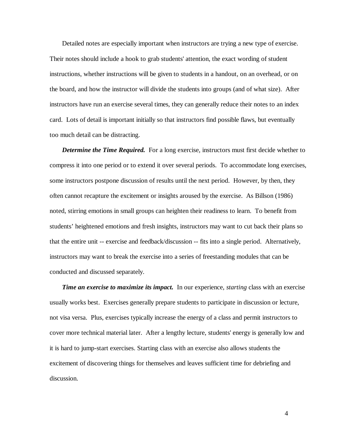Detailed notes are especially important when instructors are trying a new type of exercise. Their notes should include a hook to grab students' attention, the exact wording of student instructions, whether instructions will be given to students in a handout, on an overhead, or on the board, and how the instructor will divide the students into groups (and of what size). After instructors have run an exercise several times, they can generally reduce their notes to an index card. Lots of detail is important initially so that instructors find possible flaws, but eventually too much detail can be distracting.

 conducted and discussed separately. **Determine the Time Required.** For a long exercise, instructors must first decide whether to compress it into one period or to extend it over several periods. To accommodate long exercises, some instructors postpone discussion of results until the next period. However, by then, they often cannot recapture the excitement or insights aroused by the exercise. As Billson (1986) noted, stirring emotions in small groups can heighten their readiness to learn. To benefit from students' heightened emotions and fresh insights, instructors may want to cut back their plans so that the entire unit -- exercise and feedback/discussion -- fits into a single period. Alternatively, instructors may want to break the exercise into a series of freestanding modules that can be

*Time an exercise to maximize its impact.* In our experience, *starting* class with an exercise usually works best. Exercises generally prepare students to participate in discussion or lecture, not visa versa. Plus, exercises typically increase the energy of a class and permit instructors to cover more technical material later. After a lengthy lecture, students' energy is generally low and it is hard to jump-start exercises. Starting class with an exercise also allows students the excitement of discovering things for themselves and leaves sufficient time for debriefing and discussion.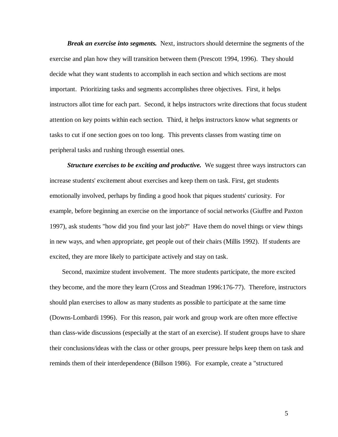*Break an exercise into segments.* Next, instructors should determine the segments of the exercise and plan how they will transition between them (Prescott 1994, 1996). They should decide what they want students to accomplish in each section and which sections are most important. Prioritizing tasks and segments accomplishes three objectives. First, it helps instructors allot time for each part. Second, it helps instructors write directions that focus student attention on key points within each section. Third, it helps instructors know what segments or tasks to cut if one section goes on too long. This prevents classes from wasting time on peripheral tasks and rushing through essential ones.

*Structure exercises to be exciting and productive.* We suggest three ways instructors can increase students' excitement about exercises and keep them on task. First, get students emotionally involved, perhaps by finding a good hook that piques students' curiosity. For example, before beginning an exercise on the importance of social networks (Giuffre and Paxton 1997), ask students "how did you find your last job?" Have them do novel things or view things in new ways, and when appropriate, get people out of their chairs (Millis 1992). If students are excited, they are more likely to participate actively and stay on task.

Second, maximize student involvement. The more students participate, the more excited they become, and the more they learn (Cross and Steadman 1996:176-77). Therefore, instructors should plan exercises to allow as many students as possible to participate at the same time (Downs-Lombardi 1996). For this reason, pair work and group work are often more effective than class-wide discussions (especially at the start of an exercise). If student groups have to share their conclusions/ideas with the class or other groups, peer pressure helps keep them on task and reminds them of their interdependence (Billson 1986). For example, create a "structured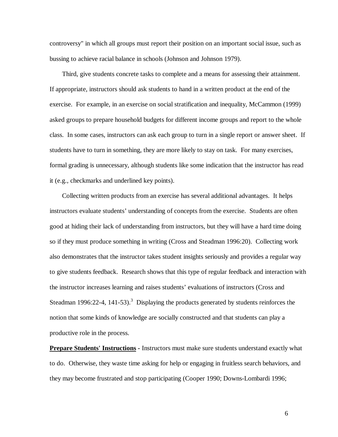controversy" in which all groups must report their position on an important social issue, such as bussing to achieve racial balance in schools (Johnson and Johnson 1979).

Third, give students concrete tasks to complete and a means for assessing their attainment. If appropriate, instructors should ask students to hand in a written product at the end of the exercise. For example, in an exercise on social stratification and inequality, McCammon (1999) asked groups to prepare household budgets for different income groups and report to the whole class. In some cases, instructors can ask each group to turn in a single report or answer sheet. If students have to turn in something, they are more likely to stay on task. For many exercises, formal grading is unnecessary, although students like some indication that the instructor has read it (e.g., checkmarks and underlined key points).

Collecting written products from an exercise has several additional advantages. It helps instructors evaluate students' understanding of concepts from the exercise. Students are often good at hiding their lack of understanding from instructors, but they will have a hard time doing so if they must produce something in writing (Cross and Steadman 1996:20). Collecting work also demonstrates that the instructor takes student insights seriously and provides a regular way to give students feedback. Research shows that this type of regular feedback and interaction with the instructor increases learning and raises students' evaluations of instructors (Cross and Steadman 1996:22-4, 141-53).<sup>3</sup> Displaying the products generated by students reinforces the notion that some kinds of knowledge are socially constructed and that students can play a productive role in the process.

**Prepare Students' Instructions - Instructors must make sure students understand exactly what** to do. Otherwise, they waste time asking for help or engaging in fruitless search behaviors, and they may become frustrated and stop participating (Cooper 1990; Downs-Lombardi 1996;

6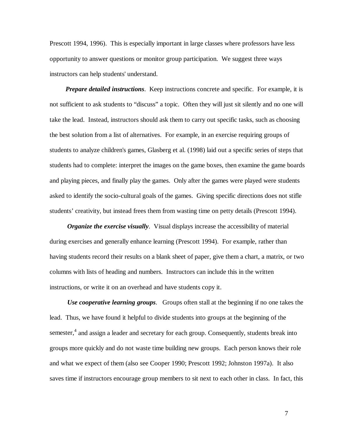Prescott 1994, 1996). This is especially important in large classes where professors have less opportunity to answer questions or monitor group participation. We suggest three ways instructors can help students' understand.

*Prepare detailed instructions*. Keep instructions concrete and specific. For example, it is not sufficient to ask students to "discuss" a topic. Often they will just sit silently and no one will take the lead. Instead, instructors should ask them to carry out specific tasks, such as choosing the best solution from a list of alternatives. For example, in an exercise requiring groups of students to analyze children's games, Glasberg et al. (1998) laid out a specific series of steps that students had to complete: interpret the images on the game boxes, then examine the game boards and playing pieces, and finally play the games. Only after the games were played were students asked to identify the socio-cultural goals of the games. Giving specific directions does not stifle students' creativity, but instead frees them from wasting time on petty details (Prescott 1994).

*Organize the exercise visually*. Visual displays increase the accessibility of material during exercises and generally enhance learning (Prescott 1994). For example, rather than having students record their results on a blank sheet of paper, give them a chart, a matrix, or two columns with lists of heading and numbers. Instructors can include this in the written instructions, or write it on an overhead and have students copy it.

*Use cooperative learning groups*. Groups often stall at the beginning if no one takes the lead. Thus, we have found it helpful to divide students into groups at the beginning of the semester,<sup>4</sup> and assign a leader and secretary for each group. Consequently, students break into groups more quickly and do not waste time building new groups. Each person knows their role and what we expect of them (also see Cooper 1990; Prescott 1992; Johnston 1997a). It also saves time if instructors encourage group members to sit next to each other in class. In fact, this

7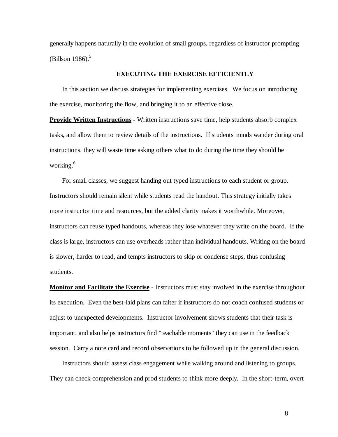(Billson 1986). $5$ generally happens naturally in the evolution of small groups, regardless of instructor prompting

# **EXECUTING THE EXERCISE EFFICIENTLY**

In this section we discuss strategies for implementing exercises. We focus on introducing the exercise, monitoring the flow, and bringing it to an effective close.

**Provide Written Instructions** - Written instructions save time, help students absorb complex tasks, and allow them to review details of the instructions. If students' minds wander during oral instructions, they will waste time asking others what to do during the time they should be working.<sup>6</sup>

For small classes, we suggest handing out typed instructions to each student or group. Instructors should remain silent while students read the handout. This strategy initially takes more instructor time and resources, but the added clarity makes it worthwhile. Moreover, instructors can reuse typed handouts, whereas they lose whatever they write on the board. If the class is large, instructors can use overheads rather than individual handouts. Writing on the board is slower, harder to read, and tempts instructors to skip or condense steps, thus confusing students.

**Monitor and Facilitate the Exercise** - Instructors must stay involved in the exercise throughout its execution. Even the best-laid plans can falter if instructors do not coach confused students or adjust to unexpected developments. Instructor involvement shows students that their task is important, and also helps instructors find "teachable moments" they can use in the feedback session. Carry a note card and record observations to be followed up in the general discussion.

Instructors should assess class engagement while walking around and listening to groups. They can check comprehension and prod students to think more deeply. In the short-term, overt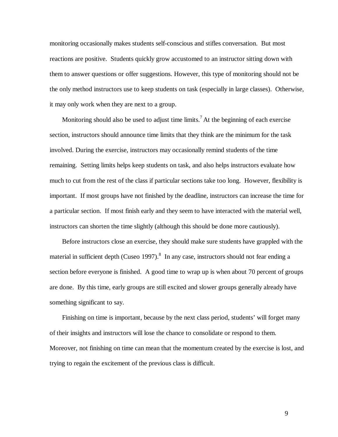monitoring occasionally makes students self-conscious and stifles conversation. But most reactions are positive. Students quickly grow accustomed to an instructor sitting down with them to answer questions or offer suggestions. However, this type of monitoring should not be the only method instructors use to keep students on task (especially in large classes). Otherwise, it may only work when they are next to a group.

Monitoring should also be used to adjust time limits.<sup>7</sup> At the beginning of each exercise section, instructors should announce time limits that they think are the minimum for the task involved. During the exercise, instructors may occasionally remind students of the time remaining. Setting limits helps keep students on task, and also helps instructors evaluate how much to cut from the rest of the class if particular sections take too long. However, flexibility is important. If most groups have not finished by the deadline, instructors can increase the time for a particular section. If most finish early and they seem to have interacted with the material well, instructors can shorten the time slightly (although this should be done more cautiously).

Before instructors close an exercise, they should make sure students have grappled with the material in sufficient depth (Cuseo 1997). $8\,$  In any case, instructors should not fear ending a section before everyone is finished. A good time to wrap up is when about 70 percent of groups are done. By this time, early groups are still excited and slower groups generally already have something significant to say.

Finishing on time is important, because by the next class period, students' will forget many of their insights and instructors will lose the chance to consolidate or respond to them. Moreover, not finishing on time can mean that the momentum created by the exercise is lost, and trying to regain the excitement of the previous class is difficult.

9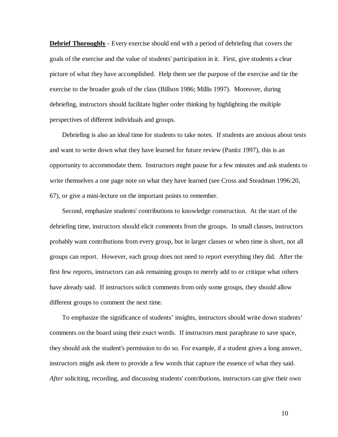**Debrief Thoroughly** - Every exercise should end with a period of debriefing that covers the goals of the exercise and the value of students' participation in it. First, give students a clear picture of what they have accomplished. Help them see the purpose of the exercise and tie the exercise to the broader goals of the class (Billson 1986; Millis 1997). Moreover, during debriefing, instructors should facilitate higher order thinking by highlighting the multiple perspectives of different individuals and groups.

Debriefing is also an ideal time for students to take notes. If students are anxious about tests and want to write down what they have learned for future review (Panitz 1997), this is an opportunity to accommodate them. Instructors might pause for a few minutes and ask students to write themselves a one page note on what they have learned (see Cross and Steadman 1996:20, 67), or give a mini-lecture on the important points to remember.

Second, emphasize students' contributions to knowledge construction. At the start of the debriefing time, instructors should elicit comments from the groups. In small classes, instructors probably want contributions from every group, but in larger classes or when time is short, not all groups can report. However, each group does not need to report everything they did. After the first few reports, instructors can ask remaining groups to merely add to or critique what others have already said. If instructors solicit comments from only some groups, they should allow different groups to comment the next time.

To emphasize the significance of students' insights, instructors should write down students' comments on the board using their *exact* words. If instructors must paraphrase to save space, they should ask the student's permission to do so. For example, if a student gives a long answer, instructors might ask *them* to provide a few words that capture the essence of what they said. *After* soliciting, recording, and discussing students' contributions, instructors can give their own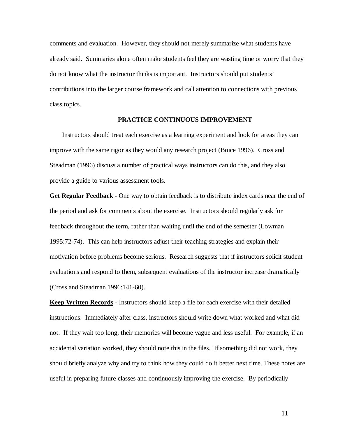comments and evaluation. However, they should not merely summarize what students have already said. Summaries alone often make students feel they are wasting time or worry that they do not know what the instructor thinks is important. Instructors should put students' contributions into the larger course framework and call attention to connections with previous class topics.

## **PRACTICE CONTINUOUS IMPROVEMENT**

Instructors should treat each exercise as a learning experiment and look for areas they can improve with the same rigor as they would any research project (Boice 1996). Cross and Steadman (1996) discuss a number of practical ways instructors can do this, and they also provide a guide to various assessment tools.

**Get Regular Feedback** - One way to obtain feedback is to distribute index cards near the end of the period and ask for comments about the exercise. Instructors should regularly ask for feedback throughout the term, rather than waiting until the end of the semester (Lowman 1995:72-74). This can help instructors adjust their teaching strategies and explain their motivation before problems become serious. Research suggests that if instructors solicit student evaluations and respond to them, subsequent evaluations of the instructor increase dramatically (Cross and Steadman 1996:141-60).

**Keep Written Records** - Instructors should keep a file for each exercise with their detailed instructions. Immediately after class, instructors should write down what worked and what did not. If they wait too long, their memories will become vague and less useful. For example, if an accidental variation worked, they should note this in the files. If something did not work, they should briefly analyze why and try to think how they could do it better next time. These notes are useful in preparing future classes and continuously improving the exercise. By periodically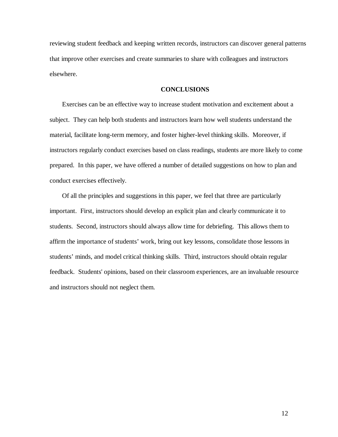reviewing student feedback and keeping written records, instructors can discover general patterns that improve other exercises and create summaries to share with colleagues and instructors elsewhere.

## **CONCLUSIONS**

Exercises can be an effective way to increase student motivation and excitement about a subject. They can help both students and instructors learn how well students understand the material, facilitate long-term memory, and foster higher-level thinking skills. Moreover, if instructors regularly conduct exercises based on class readings, students are more likely to come prepared. In this paper, we have offered a number of detailed suggestions on how to plan and conduct exercises effectively.

Of all the principles and suggestions in this paper, we feel that three are particularly important. First, instructors should develop an explicit plan and clearly communicate it to students. Second, instructors should always allow time for debriefing. This allows them to affirm the importance of students' work, bring out key lessons, consolidate those lessons in students' minds, and model critical thinking skills. Third, instructors should obtain regular feedback. Students' opinions, based on their classroom experiences, are an invaluable resource and instructors should not neglect them.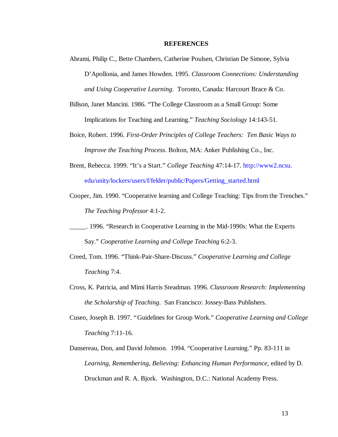#### **REFERENCES**

- Abrami, Philip C., Bette Chambers, Catherine Poulsen, Christian De Simone, Sylvia D'Apollonia, and James Howden. 1995. *Classroom Connections: Understanding and Using Cooperative Learning*. Toronto, Canada: Harcourt Brace & Co.
- Billson, Janet Mancini. 1986. "The College Classroom as a Small Group: Some Implications for Teaching and Learning." *Teaching Sociology* 14:143-51.
- Boice, Robert. 1996. *First-Order Principles of College Teachers: Ten Basic Ways to Improve the Teaching Process*. Bolton, MA: Anker Publishing Co., Inc.
- Brent, Rebecca. 1999. "It's a Start." *College Teaching* 47:14-17. http://www2.ncsu. edu/unity/lockers/users/f/felder/public/Papers/Getting\_started.html
- Cooper, Jim. 1990. "Cooperative learning and College Teaching: Tips from the Trenches." *The Teaching Professor* 4:1-2.
- \_\_\_\_\_. 1996. "Research in Cooperative Learning in the Mid-1990s: What the Experts Say." *Cooperative Learning and College Teaching* 6:2-3.
- Creed, Tom. 1996. "Think-Pair-Share-Discuss." *Cooperative Learning and College Teaching* 7:4.
- Cross, K. Patricia, and Mimi Harris Steadman. 1996. *Classroom Research: Implementing the Scholarship of Teaching*. San Francisco: Jossey-Bass Publishers.
- Cuseo, Joseph B. 1997. "Guidelines for Group Work." *Cooperative Learning and College Teaching* 7:11-16.
- Dansereau, Don, and David Johnson. 1994. "Cooperative Learning." Pp. 83-111 in *Learning, Remembering, Believing: Enhancing Human Performance*, edited by D. Druckman and R. A. Bjork. Washington, D.C.: National Academy Press.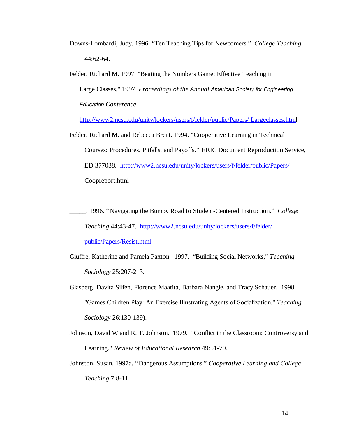- Downs-Lombardi, Judy. 1996. "Ten Teaching Tips for Newcomers." *College Teaching* 44:62-64.
- Felder, Richard M. 1997. "Beating the Numbers Game: Effective Teaching in Large Classes," 1997. *Proceedings of the Annual American Society for Engineering Education Conference*

http://www2.ncsu.edu/unity/lockers/users/f/felder/public/Papers/ Largeclasses.html

Felder, Richard M. and Rebecca Brent. 1994. "Cooperative Learning in Technical Courses: Procedures, Pitfalls, and Payoffs." ERIC Document Reproduction Service, ED 377038. http://www2.ncsu.edu/unity/lockers/users/f/felder/public/Papers/ Coopreport.html

\_\_\_\_\_. 1996. "Navigating the Bumpy Road to Student-Centered Instruction." *College Teaching* 44:43-47. http://www2.ncsu.edu/unity/lockers/users/f/felder/ public/Papers/Resist.html

- Giuffre, Katherine and Pamela Paxton. 1997. "Building Social Networks," *Teaching Sociology* 25:207-213.
- Glasberg, Davita Silfen, Florence Maatita, Barbara Nangle, and Tracy Schauer. 1998. "Games Children Play: An Exercise Illustrating Agents of Socialization." *Teaching Sociology* 26:130-139).
- Johnson, David W and R. T. Johnson. 1979. "Conflict in the Classroom: Controversy and Learning." *Review of Educational Research* 49:51-70.
- Johnston, Susan. 1997a. "Dangerous Assumptions." *Cooperative Learning and College Teaching* 7:8-11.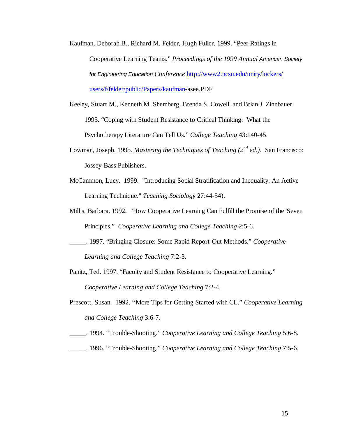- Kaufman, Deborah B., Richard M. Felder, Hugh Fuller. 1999. "Peer Ratings in Cooperative Learning Teams." *Proceedings of the 1999 Annual American Society for Engineering Education Conference* http://www2.ncsu.edu/unity/lockers/ users/f/felder/public/Papers/kaufman-asee.PDF
- Keeley, Stuart M., Kenneth M. Shemberg, Brenda S. Cowell, and Brian J. Zinnbauer. 1995. "Coping with Student Resistance to Critical Thinking: What the Psychotherapy Literature Can Tell Us." *College Teaching* 43:140-45.
- Lowman, Joseph. 1995. *Mastering the Techniques of Teaching (2nd ed.)*. San Francisco: Jossey-Bass Publishers.
- McCammon, Lucy. 1999. "Introducing Social Stratification and Inequality: An Active Learning Technique." *Teaching Sociology* 27:44-54).
- Millis, Barbara. 1992. "How Cooperative Learning Can Fulfill the Promise of the 'Seven Principles." *Cooperative Learning and College Teaching* 2:5-6.
- \_\_\_\_\_. 1997. "Bringing Closure: Some Rapid Report-Out Methods." *Cooperative Learning and College Teaching* 7:2-3.
- Panitz, Ted. 1997. "Faculty and Student Resistance to Cooperative Learning." *Cooperative Learning and College Teaching* 7:2-4.
- Prescott, Susan. 1992. "More Tips for Getting Started with CL." *Cooperative Learning and College Teaching* 3:6-7.
- \_\_\_\_\_. 1994. "Trouble-Shooting." *Cooperative Learning and College Teaching* 5:6-8.
- \_\_\_\_\_. 1996. "Trouble-Shooting." *Cooperative Learning and College Teaching* 7:5-6.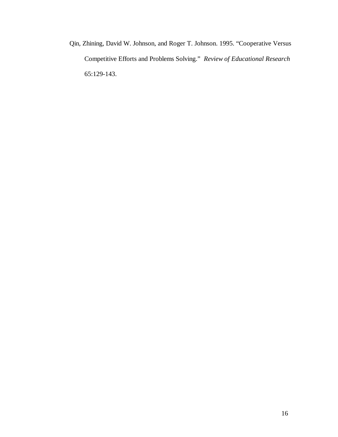Qin, Zhining, David W. Johnson, and Roger T. Johnson. 1995. "Cooperative Versus Competitive Efforts and Problems Solving." *Review of Educational Research* 65:129-143.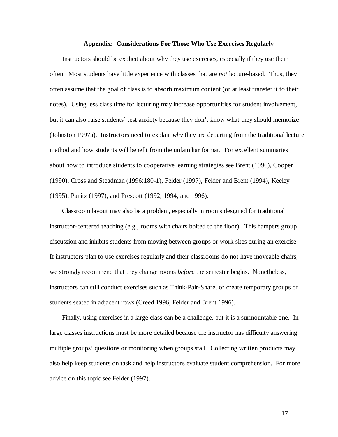#### **Appendix: Considerations For Those Who Use Exercises Regularly**

Instructors should be explicit about why they use exercises, especially if they use them often. Most students have little experience with classes that are *not* lecture-based. Thus, they often assume that the goal of class is to absorb maximum content (or at least transfer it to their notes). Using less class time for lecturing may increase opportunities for student involvement, but it can also raise students' test anxiety because they don't know what they should memorize (Johnston 1997a). Instructors need to explain *why* they are departing from the traditional lecture method and how students will benefit from the unfamiliar format. For excellent summaries about how to introduce students to cooperative learning strategies see Brent (1996), Cooper (1990), Cross and Steadman (1996:180-1), Felder (1997), Felder and Brent (1994), Keeley (1995), Panitz (1997), and Prescott (1992, 1994, and 1996).

Classroom layout may also be a problem, especially in rooms designed for traditional instructor-centered teaching (e.g., rooms with chairs bolted to the floor). This hampers group discussion and inhibits students from moving between groups or work sites during an exercise. If instructors plan to use exercises regularly and their classrooms do not have moveable chairs, we strongly recommend that they change rooms *before* the semester begins. Nonetheless, instructors can still conduct exercises such as Think-Pair-Share, or create temporary groups of students seated in adjacent rows (Creed 1996, Felder and Brent 1996).

Finally, using exercises in a large class can be a challenge, but it is a surmountable one. In large classes instructions must be more detailed because the instructor has difficulty answering multiple groups' questions or monitoring when groups stall. Collecting written products may also help keep students on task and help instructors evaluate student comprehension. For more advice on this topic see Felder (1997).